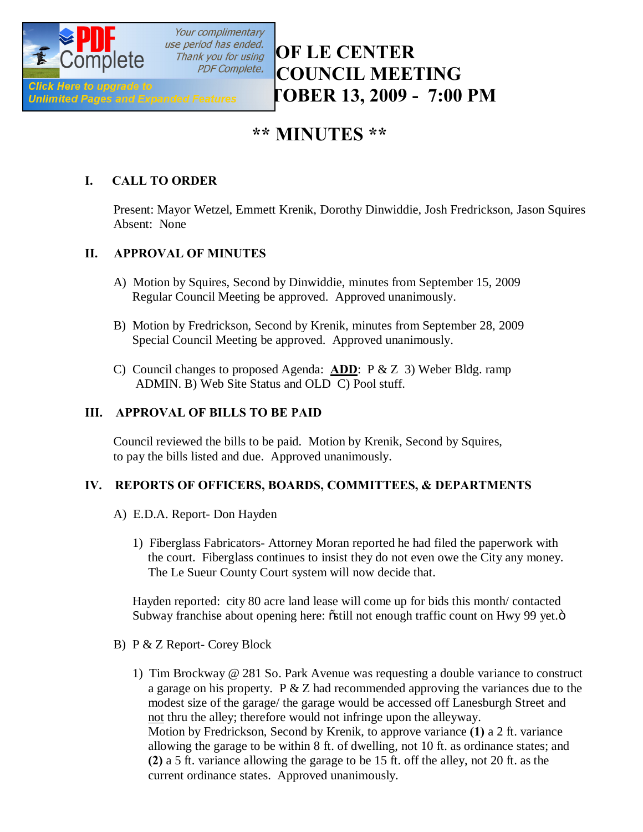

Your complimentary

# *CITY OF LE CENTER* **PDF Complete. COUNCIL MEETING Click Here to upgrade to**<br>Unlimited Pages and Expanded Features FOBER 13, 2009 - 7:00 PM

# **\*\* MINUTES \*\***

# **I. CALL TO ORDER**

Present: Mayor Wetzel, Emmett Krenik, Dorothy Dinwiddie, Josh Fredrickson, Jason Squires Absent: None

# **II. APPROVAL OF MINUTES**

- A) Motion by Squires, Second by Dinwiddie, minutes from September 15, 2009 Regular Council Meeting be approved. Approved unanimously.
- B) Motion by Fredrickson, Second by Krenik, minutes from September 28, 2009 Special Council Meeting be approved. Approved unanimously.
- C) Council changes to proposed Agenda: **ADD**: P & Z 3) Weber Bldg. ramp ADMIN. B) Web Site Status and OLD C) Pool stuff.

### **III. APPROVAL OF BILLS TO BE PAID**

Council reviewed the bills to be paid. Motion by Krenik, Second by Squires, to pay the bills listed and due. Approved unanimously.

### **IV. REPORTS OF OFFICERS, BOARDS, COMMITTEES, & DEPARTMENTS**

- A) E.D.A. Report- Don Hayden
	- 1) Fiberglass Fabricators- Attorney Moran reported he had filed the paperwork with the court. Fiberglass continues to insist they do not even owe the City any money. The Le Sueur County Court system will now decide that.

 Hayden reported: city 80 acre land lease will come up for bids this month/ contacted Subway franchise about opening here:  $\delta$ still not enough traffic count on Hwy 99 yet. $\ddot{o}$ 

- B) P & Z Report- Corey Block
	- 1) Tim Brockway @ 281 So. Park Avenue was requesting a double variance to construct a garage on his property. P  $&Z$  had recommended approving the variances due to the modest size of the garage/ the garage would be accessed off Lanesburgh Street and not thru the alley; therefore would not infringe upon the alleyway. Motion by Fredrickson, Second by Krenik, to approve variance **(1)** a 2 ft. variance allowing the garage to be within 8 ft. of dwelling, not 10 ft. as ordinance states; and **(2)** a 5 ft. variance allowing the garage to be 15 ft. off the alley, not 20 ft. as the current ordinance states. Approved unanimously.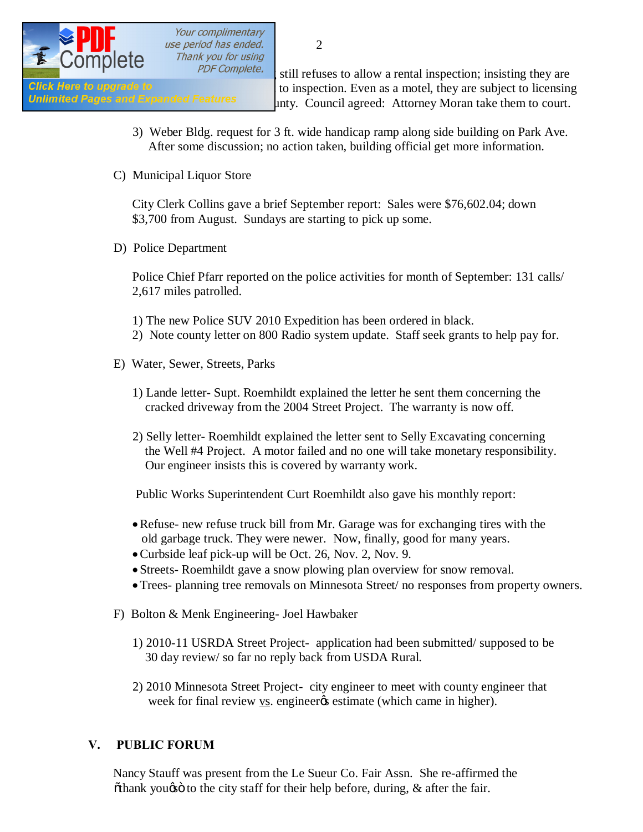

Your complimentary use period has ended. Thank you for using

PDF Complete.  $\frac{1}{3}$  still refuses to allow a rental inspection; insisting they are Click Here to upgrade to<br>
Unlimited Pages and Expanded Features<br>
Unlimited Pages and Expanded Features<br>
Unlimited Pages and Expanded Features<br>
Unlimited Pages and Expanded Features unty. Council agreed: Attorney Moran take them to court.

- 3) Weber Bldg. request for 3 ft. wide handicap ramp along side building on Park Ave. After some discussion; no action taken, building official get more information.
- C) Municipal Liquor Store

City Clerk Collins gave a brief September report: Sales were \$76,602.04; down \$3,700 from August. Sundays are starting to pick up some.

D) Police Department

Police Chief Pfarr reported on the police activities for month of September: 131 calls/ 2,617 miles patrolled.

1) The new Police SUV 2010 Expedition has been ordered in black. 2) Note county letter on 800 Radio system update. Staff seek grants to help pay for.

- E) Water, Sewer, Streets, Parks
	- 1) Lande letter- Supt. Roemhildt explained the letter he sent them concerning the cracked driveway from the 2004 Street Project. The warranty is now off.
	- 2) Selly letter- Roemhildt explained the letter sent to Selly Excavating concerning the Well #4 Project. A motor failed and no one will take monetary responsibility. Our engineer insists this is covered by warranty work.

Public Works Superintendent Curt Roemhildt also gave his monthly report:

- Refuse- new refuse truck bill from Mr. Garage was for exchanging tires with the old garbage truck. They were newer. Now, finally, good for many years.
- ·Curbside leaf pick-up will be Oct. 26, Nov. 2, Nov. 9.
- · Streets- Roemhildt gave a snow plowing plan overview for snow removal.
- ·Trees- planning tree removals on Minnesota Street/ no responses from property owners.
- F) Bolton & Menk Engineering- Joel Hawbaker
	- 1) 2010-11 USRDA Street Project- application had been submitted/ supposed to be 30 day review/ so far no reply back from USDA Rural.
	- 2) 2010 Minnesota Street Project- city engineer to meet with county engineer that week for final review vs. engineer is estimate (which came in higher).

#### **V. PUBLIC FORUM**

 Nancy Stauff was present from the Le Sueur Co. Fair Assn. She re-affirmed the  $\ddot{\text{o}}$  thank yougs to the city staff for their help before, during,  $\&$  after the fair.